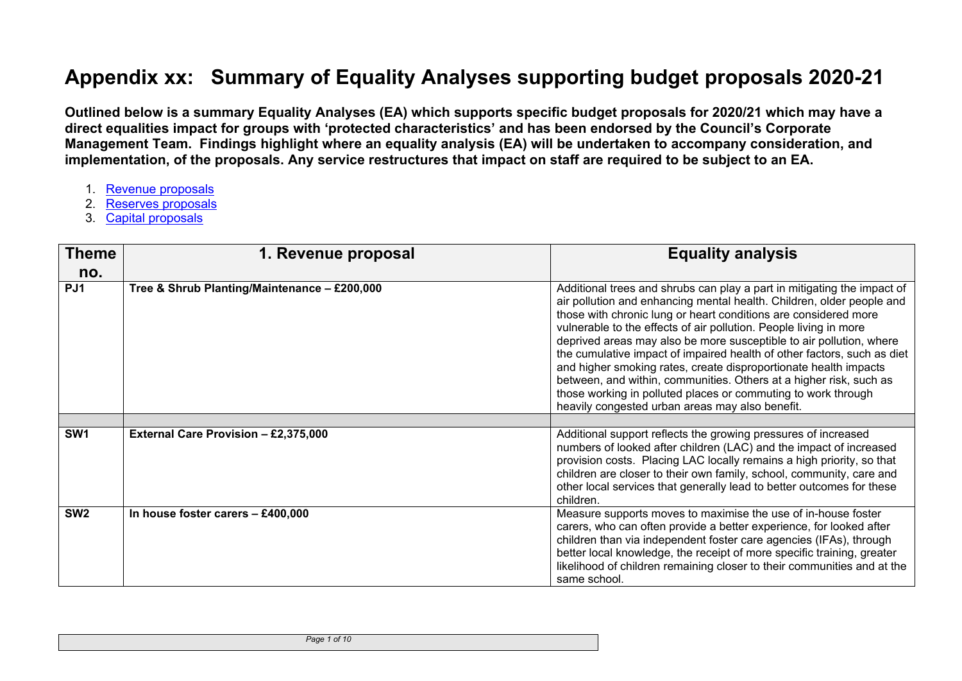## **Appendix xx: Summary of Equality Analyses supporting budget proposals 2020-21**

Outlined below is a summary Equality Analyses (EA) which supports specific budget proposals for 2020/21 which may have a direct equalities impact for groups with 'protected characteristics' and has been endorsed by the Council's Corporate **Management Team. Findings highlight where an equality analysis (EA) will be undertaken to accompany consideration, and** implementation, of the proposals. Any service restructures that impact on staff are required to be subject to an EA.

- 1. Revenue [proposals](#page-0-0)
- 2. Reserves [proposals](#page-4-0)
- <span id="page-0-0"></span>3. Capital [proposals](#page-6-0)

| <b>Theme</b><br>no. | 1. Revenue proposal                          | <b>Equality analysis</b>                                                                                                                                                                                                                                                                                                                                                                                                                                                                                                                                                                                                                                                                                 |
|---------------------|----------------------------------------------|----------------------------------------------------------------------------------------------------------------------------------------------------------------------------------------------------------------------------------------------------------------------------------------------------------------------------------------------------------------------------------------------------------------------------------------------------------------------------------------------------------------------------------------------------------------------------------------------------------------------------------------------------------------------------------------------------------|
| PJ1                 | Tree & Shrub Planting/Maintenance - £200,000 | Additional trees and shrubs can play a part in mitigating the impact of<br>air pollution and enhancing mental health. Children, older people and<br>those with chronic lung or heart conditions are considered more<br>vulnerable to the effects of air pollution. People living in more<br>deprived areas may also be more susceptible to air pollution, where<br>the cumulative impact of impaired health of other factors, such as diet<br>and higher smoking rates, create disproportionate health impacts<br>between, and within, communities. Others at a higher risk, such as<br>those working in polluted places or commuting to work through<br>heavily congested urban areas may also benefit. |
|                     |                                              |                                                                                                                                                                                                                                                                                                                                                                                                                                                                                                                                                                                                                                                                                                          |
| SW <sub>1</sub>     | External Care Provision - £2,375,000         | Additional support reflects the growing pressures of increased<br>numbers of looked after children (LAC) and the impact of increased<br>provision costs. Placing LAC locally remains a high priority, so that<br>children are closer to their own family, school, community, care and<br>other local services that generally lead to better outcomes for these<br>children.                                                                                                                                                                                                                                                                                                                              |
| SW <sub>2</sub>     | In house foster carers $-$ £400,000          | Measure supports moves to maximise the use of in-house foster<br>carers, who can often provide a better experience, for looked after<br>children than via independent foster care agencies (IFAs), through<br>better local knowledge, the receipt of more specific training, greater<br>likelihood of children remaining closer to their communities and at the<br>same school.                                                                                                                                                                                                                                                                                                                          |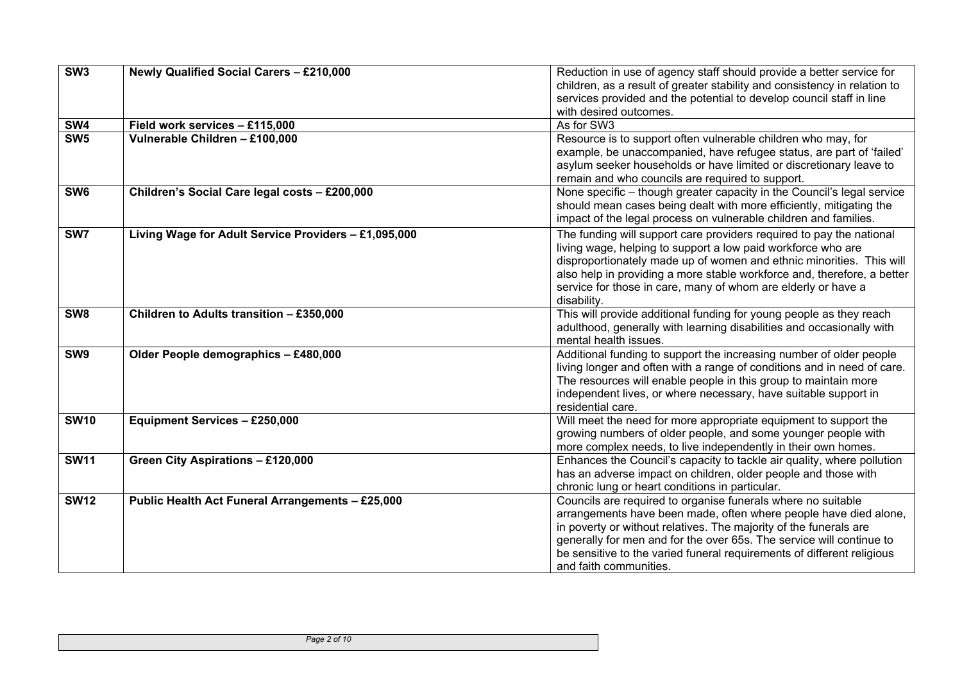| SW3             | Newly Qualified Social Carers - £210,000             | Reduction in use of agency staff should provide a better service for<br>children, as a result of greater stability and consistency in relation to<br>services provided and the potential to develop council staff in line<br>with desired outcomes.                                                                                                                               |
|-----------------|------------------------------------------------------|-----------------------------------------------------------------------------------------------------------------------------------------------------------------------------------------------------------------------------------------------------------------------------------------------------------------------------------------------------------------------------------|
| SW4             | Field work services - £115,000                       | As for SW3                                                                                                                                                                                                                                                                                                                                                                        |
| SW5             | Vulnerable Children - £100,000                       | Resource is to support often vulnerable children who may, for<br>example, be unaccompanied, have refugee status, are part of 'failed'<br>asylum seeker households or have limited or discretionary leave to<br>remain and who councils are required to support.                                                                                                                   |
| SW <sub>6</sub> | Children's Social Care legal costs - £200,000        | None specific - though greater capacity in the Council's legal service<br>should mean cases being dealt with more efficiently, mitigating the<br>impact of the legal process on vulnerable children and families.                                                                                                                                                                 |
| SW7             | Living Wage for Adult Service Providers - £1,095,000 | The funding will support care providers required to pay the national<br>living wage, helping to support a low paid workforce who are<br>disproportionately made up of women and ethnic minorities. This will<br>also help in providing a more stable workforce and, therefore, a better<br>service for those in care, many of whom are elderly or have a<br>disability.           |
| SW <sub>8</sub> | Children to Adults transition - £350,000             | This will provide additional funding for young people as they reach<br>adulthood, generally with learning disabilities and occasionally with<br>mental health issues.                                                                                                                                                                                                             |
| SW <sub>9</sub> | Older People demographics - £480,000                 | Additional funding to support the increasing number of older people<br>living longer and often with a range of conditions and in need of care.<br>The resources will enable people in this group to maintain more<br>independent lives, or where necessary, have suitable support in<br>residential care.                                                                         |
| <b>SW10</b>     | <b>Equipment Services - £250,000</b>                 | Will meet the need for more appropriate equipment to support the<br>growing numbers of older people, and some younger people with<br>more complex needs, to live independently in their own homes.                                                                                                                                                                                |
| <b>SW11</b>     | Green City Aspirations - £120,000                    | Enhances the Council's capacity to tackle air quality, where pollution<br>has an adverse impact on children, older people and those with<br>chronic lung or heart conditions in particular.                                                                                                                                                                                       |
| <b>SW12</b>     | Public Health Act Funeral Arrangements - £25,000     | Councils are required to organise funerals where no suitable<br>arrangements have been made, often where people have died alone,<br>in poverty or without relatives. The majority of the funerals are<br>generally for men and for the over 65s. The service will continue to<br>be sensitive to the varied funeral requirements of different religious<br>and faith communities. |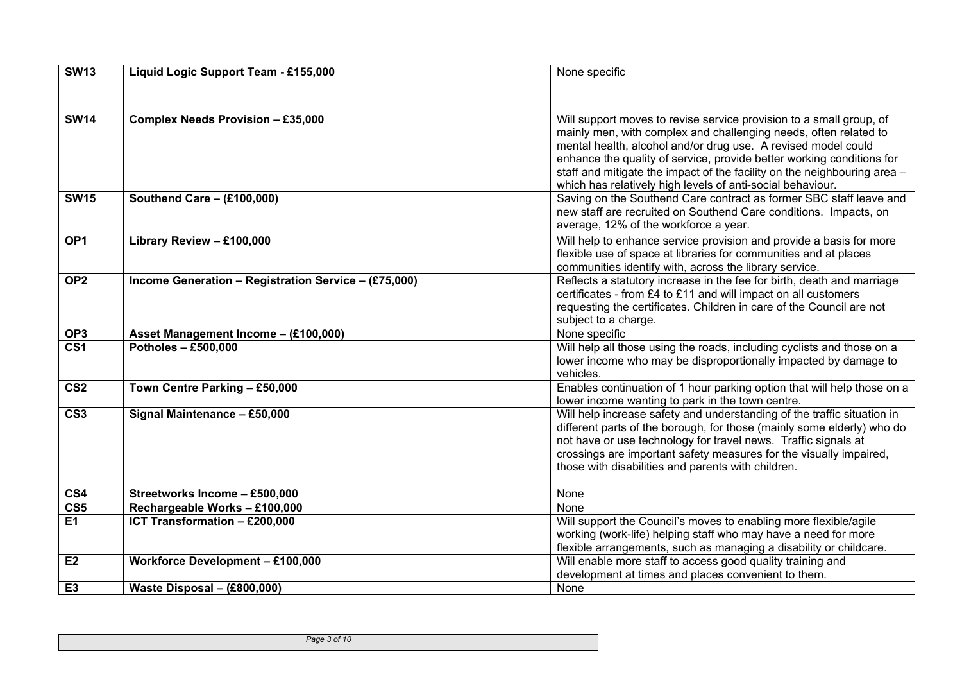| <b>SW13</b>             | Liquid Logic Support Team - £155,000                 | None specific                                                                                                                                                                                                                                                                                                                                                                                                               |
|-------------------------|------------------------------------------------------|-----------------------------------------------------------------------------------------------------------------------------------------------------------------------------------------------------------------------------------------------------------------------------------------------------------------------------------------------------------------------------------------------------------------------------|
|                         |                                                      |                                                                                                                                                                                                                                                                                                                                                                                                                             |
| <b>SW14</b>             | Complex Needs Provision - £35,000                    | Will support moves to revise service provision to a small group, of<br>mainly men, with complex and challenging needs, often related to<br>mental health, alcohol and/or drug use. A revised model could<br>enhance the quality of service, provide better working conditions for<br>staff and mitigate the impact of the facility on the neighbouring area -<br>which has relatively high levels of anti-social behaviour. |
| <b>SW15</b>             | Southend Care - $(E100,000)$                         | Saving on the Southend Care contract as former SBC staff leave and<br>new staff are recruited on Southend Care conditions. Impacts, on<br>average, 12% of the workforce a year.                                                                                                                                                                                                                                             |
| OP <sub>1</sub>         | Library Review - £100,000                            | Will help to enhance service provision and provide a basis for more<br>flexible use of space at libraries for communities and at places<br>communities identify with, across the library service.                                                                                                                                                                                                                           |
| OP <sub>2</sub>         | Income Generation - Registration Service - (£75,000) | Reflects a statutory increase in the fee for birth, death and marriage<br>certificates - from £4 to £11 and will impact on all customers<br>requesting the certificates. Children in care of the Council are not<br>subject to a charge.                                                                                                                                                                                    |
| OP <sub>3</sub>         | Asset Management Income - (£100,000)                 | None specific                                                                                                                                                                                                                                                                                                                                                                                                               |
| $\overline{\text{CS1}}$ | <b>Potholes - £500,000</b>                           | Will help all those using the roads, including cyclists and those on a<br>lower income who may be disproportionally impacted by damage to<br>vehicles.                                                                                                                                                                                                                                                                      |
| $\overline{\text{CS2}}$ | Town Centre Parking - £50,000                        | Enables continuation of 1 hour parking option that will help those on a<br>lower income wanting to park in the town centre.                                                                                                                                                                                                                                                                                                 |
| CS <sub>3</sub>         | Signal Maintenance - £50,000                         | Will help increase safety and understanding of the traffic situation in<br>different parts of the borough, for those (mainly some elderly) who do<br>not have or use technology for travel news. Traffic signals at<br>crossings are important safety measures for the visually impaired,<br>those with disabilities and parents with children.                                                                             |
| CS4                     | Streetworks Income - £500,000                        | None                                                                                                                                                                                                                                                                                                                                                                                                                        |
| $\overline{\text{CS5}}$ | Rechargeable Works - £100,000                        | None                                                                                                                                                                                                                                                                                                                                                                                                                        |
| <b>E1</b>               | ICT Transformation - £200,000                        | Will support the Council's moves to enabling more flexible/agile<br>working (work-life) helping staff who may have a need for more<br>flexible arrangements, such as managing a disability or childcare.                                                                                                                                                                                                                    |
| E2                      | <b>Workforce Development - £100,000</b>              | Will enable more staff to access good quality training and<br>development at times and places convenient to them.                                                                                                                                                                                                                                                                                                           |
| E <sub>3</sub>          | Waste Disposal - (£800,000)                          | None                                                                                                                                                                                                                                                                                                                                                                                                                        |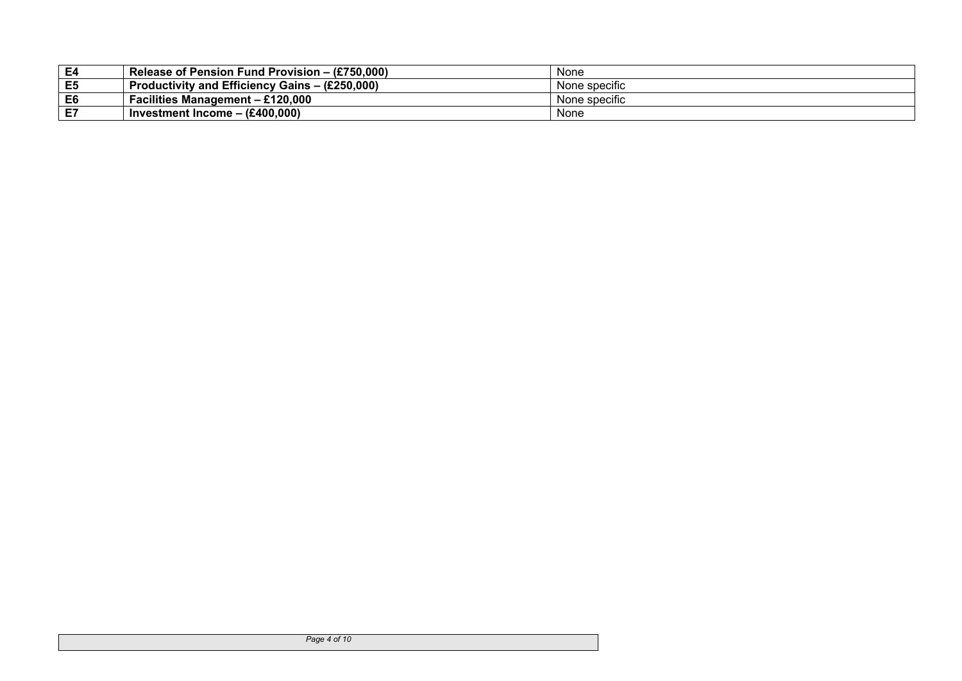| E4 | Release of Pension Fund Provision – (£750,000)                     | None          |
|----|--------------------------------------------------------------------|---------------|
| E5 | <b>Productivity and Efficiency Gains - <math>(E250,000)</math></b> | None specific |
| E6 | <b>Facilities Management - £120,000</b>                            | None specific |
| E7 | Investment Income $-$ (£400,000)                                   | None          |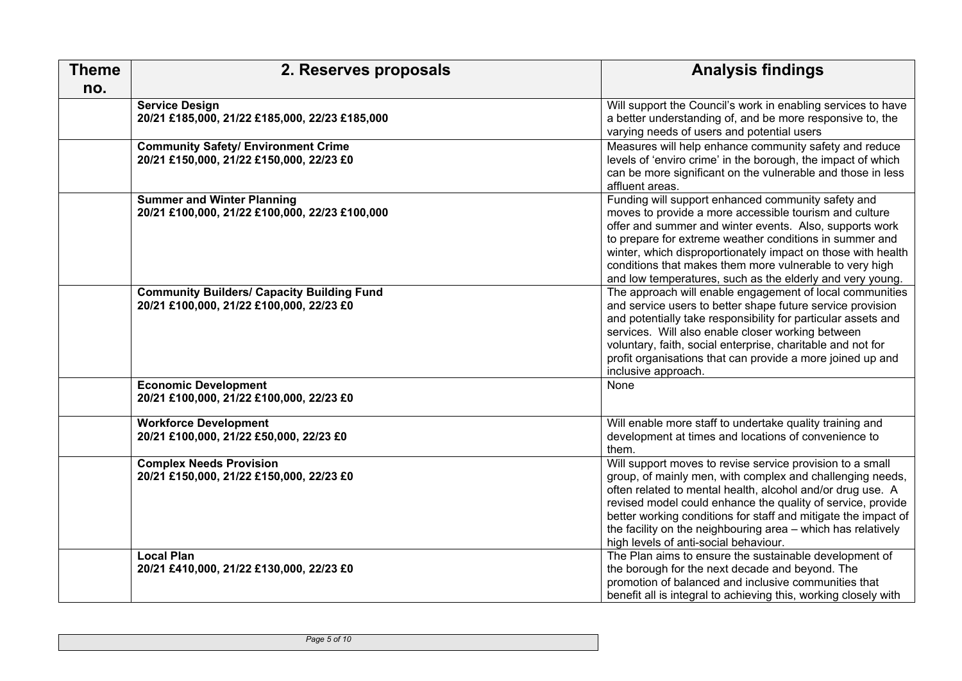<span id="page-4-0"></span>

| <b>Theme</b> | 2. Reserves proposals                                                                         | <b>Analysis findings</b>                                                                                                                                                                                                                                                                                                                                                                                                       |
|--------------|-----------------------------------------------------------------------------------------------|--------------------------------------------------------------------------------------------------------------------------------------------------------------------------------------------------------------------------------------------------------------------------------------------------------------------------------------------------------------------------------------------------------------------------------|
| no.          |                                                                                               |                                                                                                                                                                                                                                                                                                                                                                                                                                |
|              | <b>Service Design</b><br>20/21 £185,000, 21/22 £185,000, 22/23 £185,000                       | Will support the Council's work in enabling services to have<br>a better understanding of, and be more responsive to, the<br>varying needs of users and potential users                                                                                                                                                                                                                                                        |
|              | <b>Community Safety/ Environment Crime</b><br>20/21 £150,000, 21/22 £150,000, 22/23 £0        | Measures will help enhance community safety and reduce<br>levels of 'enviro crime' in the borough, the impact of which<br>can be more significant on the vulnerable and those in less<br>affluent areas.                                                                                                                                                                                                                       |
|              | <b>Summer and Winter Planning</b><br>20/21 £100,000, 21/22 £100,000, 22/23 £100,000           | Funding will support enhanced community safety and<br>moves to provide a more accessible tourism and culture<br>offer and summer and winter events. Also, supports work<br>to prepare for extreme weather conditions in summer and<br>winter, which disproportionately impact on those with health<br>conditions that makes them more vulnerable to very high<br>and low temperatures, such as the elderly and very young.     |
|              | <b>Community Builders/ Capacity Building Fund</b><br>20/21 £100,000, 21/22 £100,000, 22/23 £0 | The approach will enable engagement of local communities<br>and service users to better shape future service provision<br>and potentially take responsibility for particular assets and<br>services. Will also enable closer working between<br>voluntary, faith, social enterprise, charitable and not for<br>profit organisations that can provide a more joined up and<br>inclusive approach.                               |
|              | <b>Economic Development</b><br>20/21 £100,000, 21/22 £100,000, 22/23 £0                       | None                                                                                                                                                                                                                                                                                                                                                                                                                           |
|              | <b>Workforce Development</b><br>20/21 £100,000, 21/22 £50,000, 22/23 £0                       | Will enable more staff to undertake quality training and<br>development at times and locations of convenience to<br>them.                                                                                                                                                                                                                                                                                                      |
|              | <b>Complex Needs Provision</b><br>20/21 £150,000, 21/22 £150,000, 22/23 £0                    | Will support moves to revise service provision to a small<br>group, of mainly men, with complex and challenging needs,<br>often related to mental health, alcohol and/or drug use. A<br>revised model could enhance the quality of service, provide<br>better working conditions for staff and mitigate the impact of<br>the facility on the neighbouring area - which has relatively<br>high levels of anti-social behaviour. |
|              | <b>Local Plan</b><br>20/21 £410,000, 21/22 £130,000, 22/23 £0                                 | The Plan aims to ensure the sustainable development of<br>the borough for the next decade and beyond. The<br>promotion of balanced and inclusive communities that<br>benefit all is integral to achieving this, working closely with                                                                                                                                                                                           |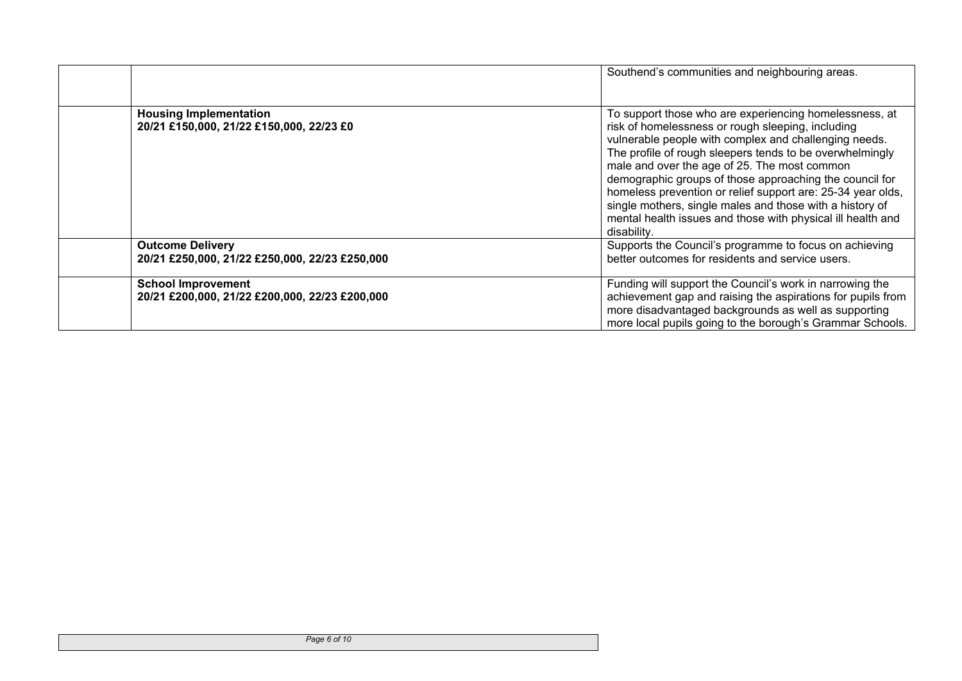|                                                                             | Southend's communities and neighbouring areas.                                                                                                                                                                                                                                                                                                                                                                                                                                                                                                       |
|-----------------------------------------------------------------------------|------------------------------------------------------------------------------------------------------------------------------------------------------------------------------------------------------------------------------------------------------------------------------------------------------------------------------------------------------------------------------------------------------------------------------------------------------------------------------------------------------------------------------------------------------|
| <b>Housing Implementation</b><br>20/21 £150,000, 21/22 £150,000, 22/23 £0   | To support those who are experiencing homelessness, at<br>risk of homelessness or rough sleeping, including<br>vulnerable people with complex and challenging needs.<br>The profile of rough sleepers tends to be overwhelmingly<br>male and over the age of 25. The most common<br>demographic groups of those approaching the council for<br>homeless prevention or relief support are: 25-34 year olds,<br>single mothers, single males and those with a history of<br>mental health issues and those with physical ill health and<br>disability. |
| <b>Outcome Delivery</b><br>20/21 £250,000, 21/22 £250,000, 22/23 £250,000   | Supports the Council's programme to focus on achieving<br>better outcomes for residents and service users.                                                                                                                                                                                                                                                                                                                                                                                                                                           |
| <b>School Improvement</b><br>20/21 £200,000, 21/22 £200,000, 22/23 £200,000 | Funding will support the Council's work in narrowing the<br>achievement gap and raising the aspirations for pupils from<br>more disadvantaged backgrounds as well as supporting<br>more local pupils going to the borough's Grammar Schools.                                                                                                                                                                                                                                                                                                         |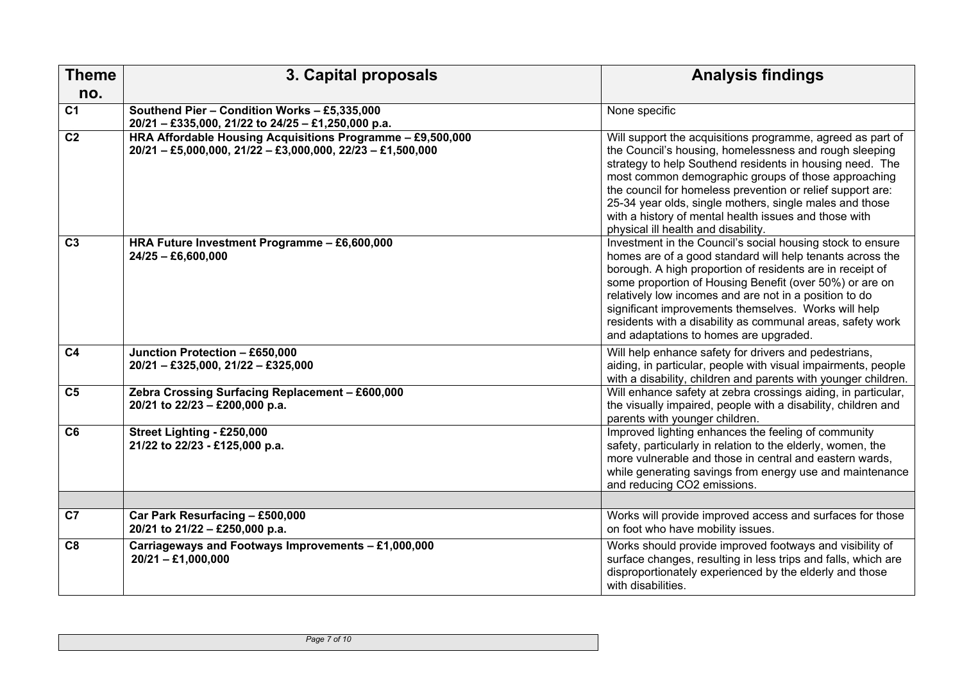<span id="page-6-0"></span>

| <b>Theme</b>    | 3. Capital proposals                                                                                                                                                                | <b>Analysis findings</b>                                                                                                                                                                                                                                                                                                                                                                                                                                                  |
|-----------------|-------------------------------------------------------------------------------------------------------------------------------------------------------------------------------------|---------------------------------------------------------------------------------------------------------------------------------------------------------------------------------------------------------------------------------------------------------------------------------------------------------------------------------------------------------------------------------------------------------------------------------------------------------------------------|
| no.             |                                                                                                                                                                                     |                                                                                                                                                                                                                                                                                                                                                                                                                                                                           |
| C <sub>1</sub>  | Southend Pier - Condition Works - £5,335,000<br>20/21 - £335,000, 21/22 to 24/25 - £1,250,000 p.a.                                                                                  | None specific                                                                                                                                                                                                                                                                                                                                                                                                                                                             |
| C <sub>2</sub>  | HRA Affordable Housing Acquisitions Programme - £9,500,000<br>$20/21 - \text{\textsterling}5,000,000, 21/22 - \text{\textsterling}3,000,000, 22/23 - \text{\textsterling}1,500,000$ | Will support the acquisitions programme, agreed as part of<br>the Council's housing, homelessness and rough sleeping<br>strategy to help Southend residents in housing need. The<br>most common demographic groups of those approaching<br>the council for homeless prevention or relief support are:<br>25-34 year olds, single mothers, single males and those<br>with a history of mental health issues and those with<br>physical ill health and disability.          |
| $\overline{C3}$ | HRA Future Investment Programme - £6,600,000<br>$24/25 - E6,600,000$                                                                                                                | Investment in the Council's social housing stock to ensure<br>homes are of a good standard will help tenants across the<br>borough. A high proportion of residents are in receipt of<br>some proportion of Housing Benefit (over 50%) or are on<br>relatively low incomes and are not in a position to do<br>significant improvements themselves. Works will help<br>residents with a disability as communal areas, safety work<br>and adaptations to homes are upgraded. |
| C <sub>4</sub>  | Junction Protection - £650,000<br>$20/21 - \text{\textsterling}325,000, 21/22 - \text{\textsterling}325,000$                                                                        | Will help enhance safety for drivers and pedestrians,<br>aiding, in particular, people with visual impairments, people<br>with a disability, children and parents with younger children.                                                                                                                                                                                                                                                                                  |
| C <sub>5</sub>  | Zebra Crossing Surfacing Replacement - £600,000<br>20/21 to 22/23 - £200,000 p.a.                                                                                                   | Will enhance safety at zebra crossings aiding, in particular,<br>the visually impaired, people with a disability, children and<br>parents with younger children.                                                                                                                                                                                                                                                                                                          |
| C <sub>6</sub>  | Street Lighting - £250,000<br>21/22 to 22/23 - £125,000 p.a.                                                                                                                        | Improved lighting enhances the feeling of community<br>safety, particularly in relation to the elderly, women, the<br>more vulnerable and those in central and eastern wards,<br>while generating savings from energy use and maintenance<br>and reducing CO2 emissions.                                                                                                                                                                                                  |
|                 |                                                                                                                                                                                     |                                                                                                                                                                                                                                                                                                                                                                                                                                                                           |
| C7              | Car Park Resurfacing - £500,000<br>20/21 to 21/22 - £250,000 p.a.                                                                                                                   | Works will provide improved access and surfaces for those<br>on foot who have mobility issues.                                                                                                                                                                                                                                                                                                                                                                            |
| C8              | Carriageways and Footways Improvements - £1,000,000<br>$20/21 - \text{£}1,000,000$                                                                                                  | Works should provide improved footways and visibility of<br>surface changes, resulting in less trips and falls, which are<br>disproportionately experienced by the elderly and those<br>with disabilities.                                                                                                                                                                                                                                                                |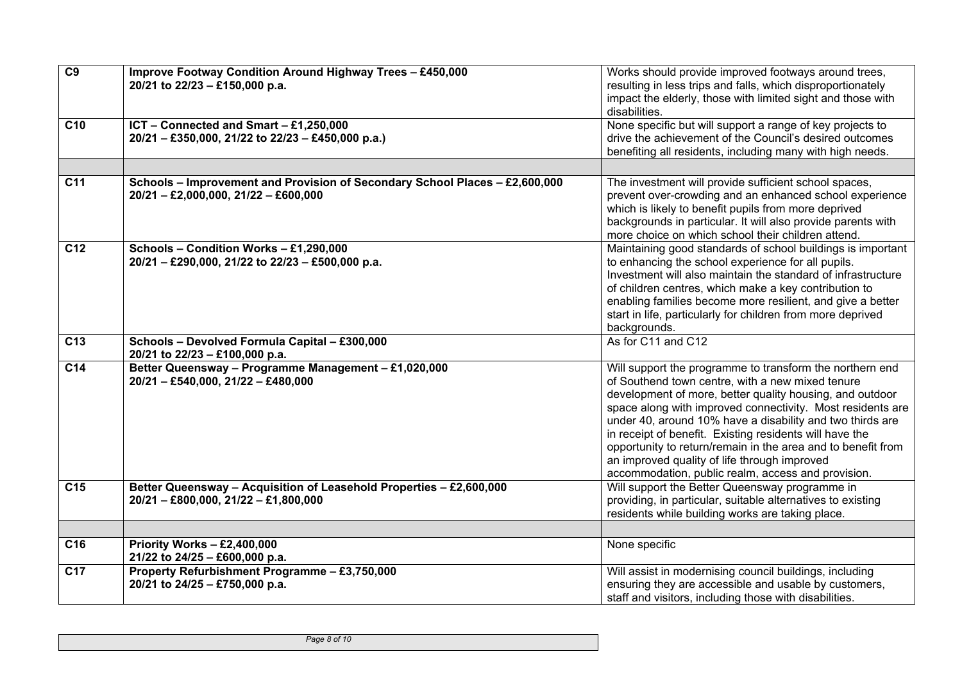| $\overline{C9}$ | Improve Footway Condition Around Highway Trees - £450,000<br>20/21 to 22/23 - £150,000 p.a.                                                                 | Works should provide improved footways around trees,<br>resulting in less trips and falls, which disproportionately<br>impact the elderly, those with limited sight and those with<br>disabilities.                                                                                                                                                                                                                                                                                                                                  |
|-----------------|-------------------------------------------------------------------------------------------------------------------------------------------------------------|--------------------------------------------------------------------------------------------------------------------------------------------------------------------------------------------------------------------------------------------------------------------------------------------------------------------------------------------------------------------------------------------------------------------------------------------------------------------------------------------------------------------------------------|
| C <sub>10</sub> | ICT - Connected and Smart - £1,250,000<br>20/21 - £350,000, 21/22 to 22/23 - £450,000 p.a.)                                                                 | None specific but will support a range of key projects to<br>drive the achievement of the Council's desired outcomes<br>benefiting all residents, including many with high needs.                                                                                                                                                                                                                                                                                                                                                    |
| C11             | Schools - Improvement and Provision of Secondary School Places - £2,600,000<br>$20/21 - \text{\textsterling}2,000,000, 21/22 - \text{\textsterling}600,000$ | The investment will provide sufficient school spaces,<br>prevent over-crowding and an enhanced school experience<br>which is likely to benefit pupils from more deprived<br>backgrounds in particular. It will also provide parents with<br>more choice on which school their children attend.                                                                                                                                                                                                                                       |
| C12             | Schools - Condition Works - £1,290,000<br>20/21 - £290,000, 21/22 to 22/23 - £500,000 p.a.                                                                  | Maintaining good standards of school buildings is important<br>to enhancing the school experience for all pupils.<br>Investment will also maintain the standard of infrastructure<br>of children centres, which make a key contribution to<br>enabling families become more resilient, and give a better<br>start in life, particularly for children from more deprived<br>backgrounds.                                                                                                                                              |
| C <sub>13</sub> | Schools - Devolved Formula Capital - £300,000<br>20/21 to 22/23 - £100,000 p.a.                                                                             | As for C11 and C12                                                                                                                                                                                                                                                                                                                                                                                                                                                                                                                   |
| C <sub>14</sub> | Better Queensway - Programme Management - £1,020,000<br>$20/21 - \text{\textsterling}540,000, 21/22 - \text{\textsterling}480,000$                          | Will support the programme to transform the northern end<br>of Southend town centre, with a new mixed tenure<br>development of more, better quality housing, and outdoor<br>space along with improved connectivity. Most residents are<br>under 40, around 10% have a disability and two thirds are<br>in receipt of benefit. Existing residents will have the<br>opportunity to return/remain in the area and to benefit from<br>an improved quality of life through improved<br>accommodation, public realm, access and provision. |
| C <sub>15</sub> | Better Queensway - Acquisition of Leasehold Properties - £2,600,000<br>$20/21 - \text{\pounds}800,000, 21/22 - \text{\pounds}1,800,000$                     | Will support the Better Queensway programme in<br>providing, in particular, suitable alternatives to existing<br>residents while building works are taking place.                                                                                                                                                                                                                                                                                                                                                                    |
|                 |                                                                                                                                                             |                                                                                                                                                                                                                                                                                                                                                                                                                                                                                                                                      |
| C <sub>16</sub> | Priority Works $-$ £2,400,000<br>21/22 to 24/25 - £600,000 p.a.                                                                                             | None specific                                                                                                                                                                                                                                                                                                                                                                                                                                                                                                                        |
| C <sub>17</sub> | Property Refurbishment Programme - £3,750,000<br>20/21 to 24/25 - £750,000 p.a.                                                                             | Will assist in modernising council buildings, including<br>ensuring they are accessible and usable by customers,<br>staff and visitors, including those with disabilities.                                                                                                                                                                                                                                                                                                                                                           |

*Page 8 of 10*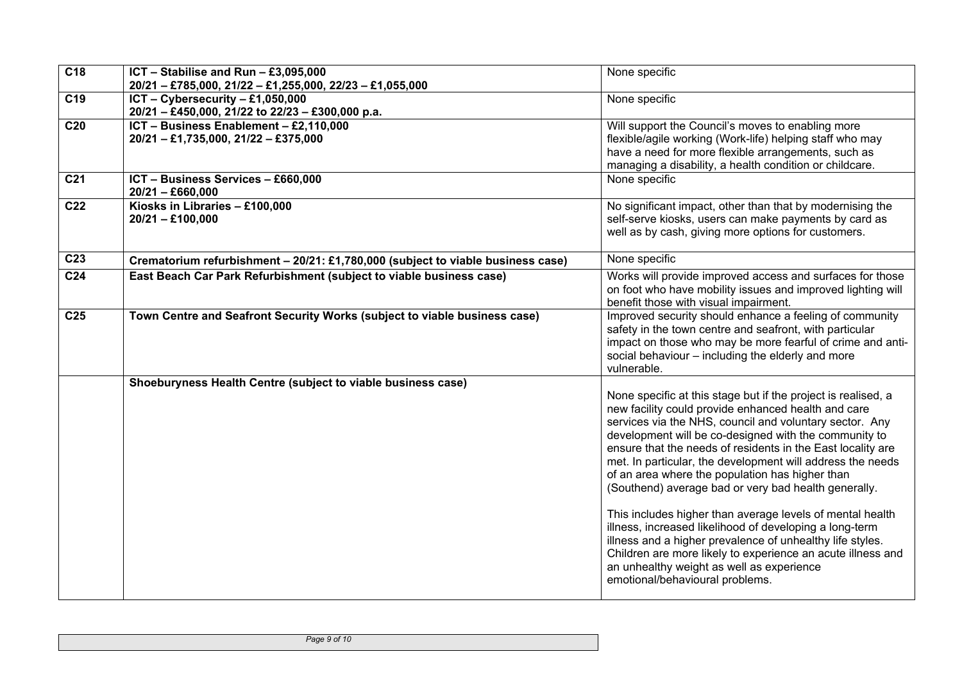| $\overline{C18}$ | ICT - Stabilise and Run - £3,095,000<br>20/21 - £785,000, 21/22 - £1,255,000, 22/23 - £1,055,000                       | None specific                                                                                                                                                                                                                                                                                                                                                                                                                                                                                                                                                                                                                                                                                                                                                                                                        |
|------------------|------------------------------------------------------------------------------------------------------------------------|----------------------------------------------------------------------------------------------------------------------------------------------------------------------------------------------------------------------------------------------------------------------------------------------------------------------------------------------------------------------------------------------------------------------------------------------------------------------------------------------------------------------------------------------------------------------------------------------------------------------------------------------------------------------------------------------------------------------------------------------------------------------------------------------------------------------|
| C19              | ICT - Cybersecurity - £1,050,000<br>20/21 - £450,000, 21/22 to 22/23 - £300,000 p.a.                                   | None specific                                                                                                                                                                                                                                                                                                                                                                                                                                                                                                                                                                                                                                                                                                                                                                                                        |
| C <sub>20</sub>  | ICT - Business Enablement - £2,110,000<br>$20/21 - \text{\textsterling}1,735,000, 21/22 - \text{\textsterling}375,000$ | Will support the Council's moves to enabling more<br>flexible/agile working (Work-life) helping staff who may<br>have a need for more flexible arrangements, such as<br>managing a disability, a health condition or childcare.                                                                                                                                                                                                                                                                                                                                                                                                                                                                                                                                                                                      |
| C <sub>21</sub>  | ICT - Business Services - £660,000<br>$20/21 - £660,000$                                                               | None specific                                                                                                                                                                                                                                                                                                                                                                                                                                                                                                                                                                                                                                                                                                                                                                                                        |
| C <sub>22</sub>  | Kiosks in Libraries - £100,000<br>$20/21 - £100,000$                                                                   | No significant impact, other than that by modernising the<br>self-serve kiosks, users can make payments by card as<br>well as by cash, giving more options for customers.                                                                                                                                                                                                                                                                                                                                                                                                                                                                                                                                                                                                                                            |
| C <sub>23</sub>  | Crematorium refurbishment - 20/21: £1,780,000 (subject to viable business case)                                        | None specific                                                                                                                                                                                                                                                                                                                                                                                                                                                                                                                                                                                                                                                                                                                                                                                                        |
| C <sub>24</sub>  | East Beach Car Park Refurbishment (subject to viable business case)                                                    | Works will provide improved access and surfaces for those<br>on foot who have mobility issues and improved lighting will<br>benefit those with visual impairment.                                                                                                                                                                                                                                                                                                                                                                                                                                                                                                                                                                                                                                                    |
| C <sub>25</sub>  | Town Centre and Seafront Security Works (subject to viable business case)                                              | Improved security should enhance a feeling of community<br>safety in the town centre and seafront, with particular<br>impact on those who may be more fearful of crime and anti-<br>social behaviour - including the elderly and more<br>vulnerable.                                                                                                                                                                                                                                                                                                                                                                                                                                                                                                                                                                 |
|                  | Shoeburyness Health Centre (subject to viable business case)                                                           | None specific at this stage but if the project is realised, a<br>new facility could provide enhanced health and care<br>services via the NHS, council and voluntary sector. Any<br>development will be co-designed with the community to<br>ensure that the needs of residents in the East locality are<br>met. In particular, the development will address the needs<br>of an area where the population has higher than<br>(Southend) average bad or very bad health generally.<br>This includes higher than average levels of mental health<br>illness, increased likelihood of developing a long-term<br>illness and a higher prevalence of unhealthy life styles.<br>Children are more likely to experience an acute illness and<br>an unhealthy weight as well as experience<br>emotional/behavioural problems. |